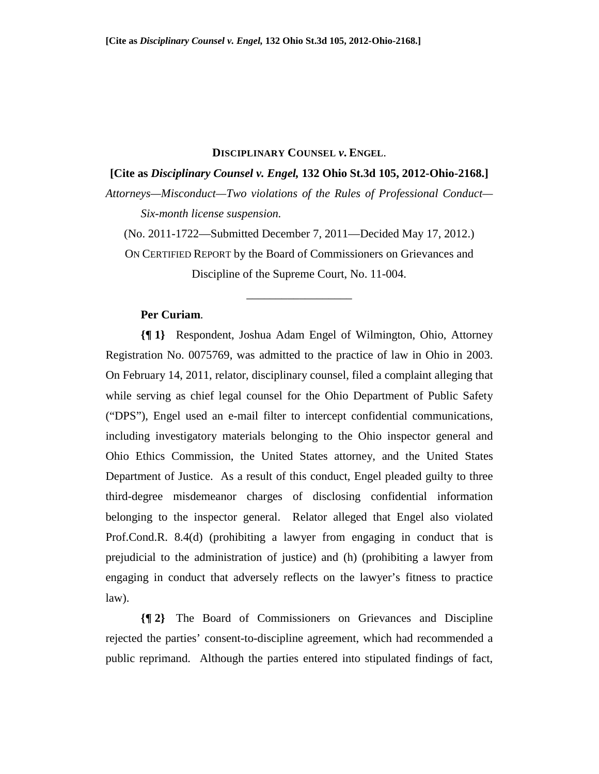#### **DISCIPLINARY COUNSEL** *v***. ENGEL**.

### **[Cite as** *Disciplinary Counsel v. Engel,* **132 Ohio St.3d 105, 2012-Ohio-2168.]**

*Attorneys—Misconduct—Two violations of the Rules of Professional Conduct— Six-month license suspension.*

(No. 2011-1722—Submitted December 7, 2011—Decided May 17, 2012.)

ON CERTIFIED REPORT by the Board of Commissioners on Grievances and Discipline of the Supreme Court, No. 11-004.

\_\_\_\_\_\_\_\_\_\_\_\_\_\_\_\_\_\_

# **Per Curiam**.

**{¶ 1}** Respondent, Joshua Adam Engel of Wilmington, Ohio, Attorney Registration No. 0075769, was admitted to the practice of law in Ohio in 2003. On February 14, 2011, relator, disciplinary counsel, filed a complaint alleging that while serving as chief legal counsel for the Ohio Department of Public Safety ("DPS"), Engel used an e-mail filter to intercept confidential communications, including investigatory materials belonging to the Ohio inspector general and Ohio Ethics Commission, the United States attorney, and the United States Department of Justice. As a result of this conduct, Engel pleaded guilty to three third-degree misdemeanor charges of disclosing confidential information belonging to the inspector general. Relator alleged that Engel also violated Prof.Cond.R. 8.4(d) (prohibiting a lawyer from engaging in conduct that is prejudicial to the administration of justice) and (h) (prohibiting a lawyer from engaging in conduct that adversely reflects on the lawyer's fitness to practice law).

**{¶ 2}** The Board of Commissioners on Grievances and Discipline rejected the parties' consent-to-discipline agreement, which had recommended a public reprimand. Although the parties entered into stipulated findings of fact,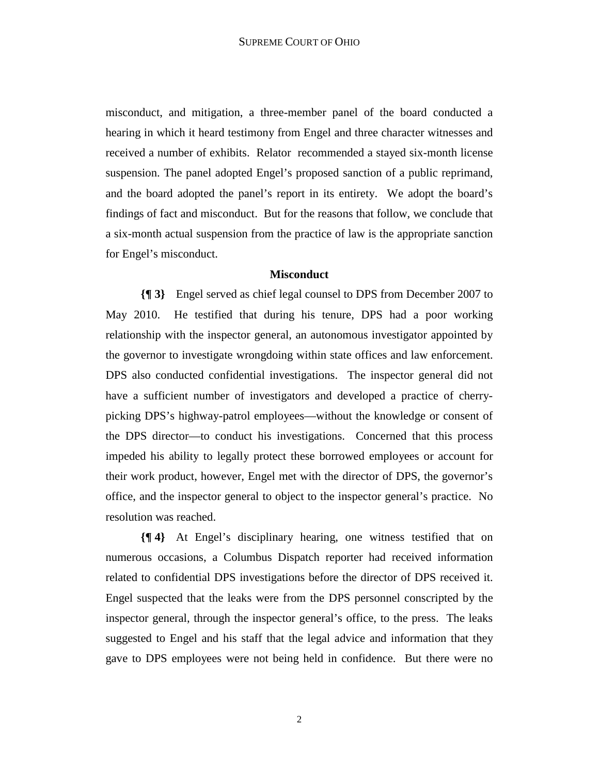misconduct, and mitigation, a three-member panel of the board conducted a hearing in which it heard testimony from Engel and three character witnesses and received a number of exhibits. Relator recommended a stayed six-month license suspension. The panel adopted Engel's proposed sanction of a public reprimand, and the board adopted the panel's report in its entirety. We adopt the board's findings of fact and misconduct. But for the reasons that follow, we conclude that a six-month actual suspension from the practice of law is the appropriate sanction for Engel's misconduct.

## **Misconduct**

**{¶ 3}** Engel served as chief legal counsel to DPS from December 2007 to May 2010. He testified that during his tenure, DPS had a poor working relationship with the inspector general, an autonomous investigator appointed by the governor to investigate wrongdoing within state offices and law enforcement. DPS also conducted confidential investigations. The inspector general did not have a sufficient number of investigators and developed a practice of cherrypicking DPS's highway-patrol employees—without the knowledge or consent of the DPS director—to conduct his investigations. Concerned that this process impeded his ability to legally protect these borrowed employees or account for their work product, however, Engel met with the director of DPS, the governor's office, and the inspector general to object to the inspector general's practice. No resolution was reached.

**{¶ 4}** At Engel's disciplinary hearing, one witness testified that on numerous occasions, a Columbus Dispatch reporter had received information related to confidential DPS investigations before the director of DPS received it. Engel suspected that the leaks were from the DPS personnel conscripted by the inspector general, through the inspector general's office, to the press. The leaks suggested to Engel and his staff that the legal advice and information that they gave to DPS employees were not being held in confidence. But there were no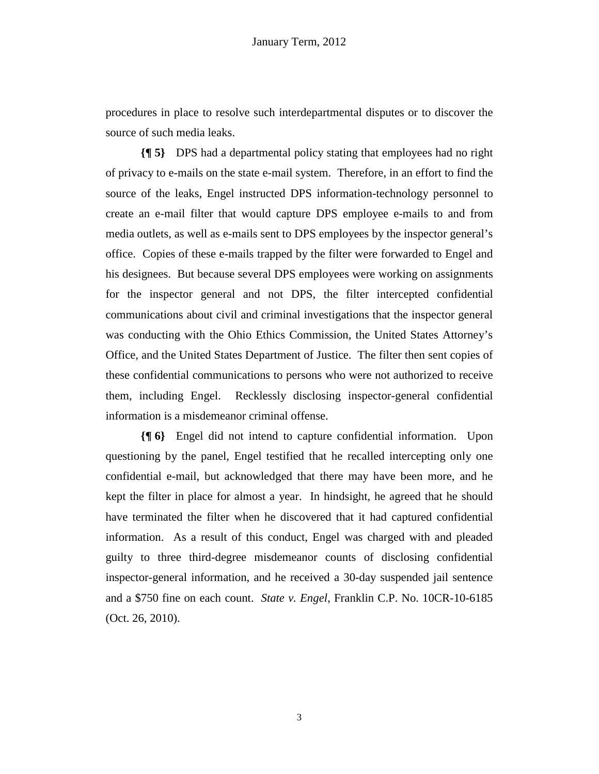procedures in place to resolve such interdepartmental disputes or to discover the source of such media leaks.

**{¶ 5}** DPS had a departmental policy stating that employees had no right of privacy to e-mails on the state e-mail system. Therefore, in an effort to find the source of the leaks, Engel instructed DPS information-technology personnel to create an e-mail filter that would capture DPS employee e-mails to and from media outlets, as well as e-mails sent to DPS employees by the inspector general's office. Copies of these e-mails trapped by the filter were forwarded to Engel and his designees. But because several DPS employees were working on assignments for the inspector general and not DPS, the filter intercepted confidential communications about civil and criminal investigations that the inspector general was conducting with the Ohio Ethics Commission, the United States Attorney's Office, and the United States Department of Justice. The filter then sent copies of these confidential communications to persons who were not authorized to receive them, including Engel. Recklessly disclosing inspector-general confidential information is a misdemeanor criminal offense.

**{¶ 6}** Engel did not intend to capture confidential information. Upon questioning by the panel, Engel testified that he recalled intercepting only one confidential e-mail, but acknowledged that there may have been more, and he kept the filter in place for almost a year. In hindsight, he agreed that he should have terminated the filter when he discovered that it had captured confidential information. As a result of this conduct, Engel was charged with and pleaded guilty to three third-degree misdemeanor counts of disclosing confidential inspector-general information, and he received a 30-day suspended jail sentence and a \$750 fine on each count. *State v. Engel*, Franklin C.P. No. 10CR-10-6185 (Oct. 26, 2010).

3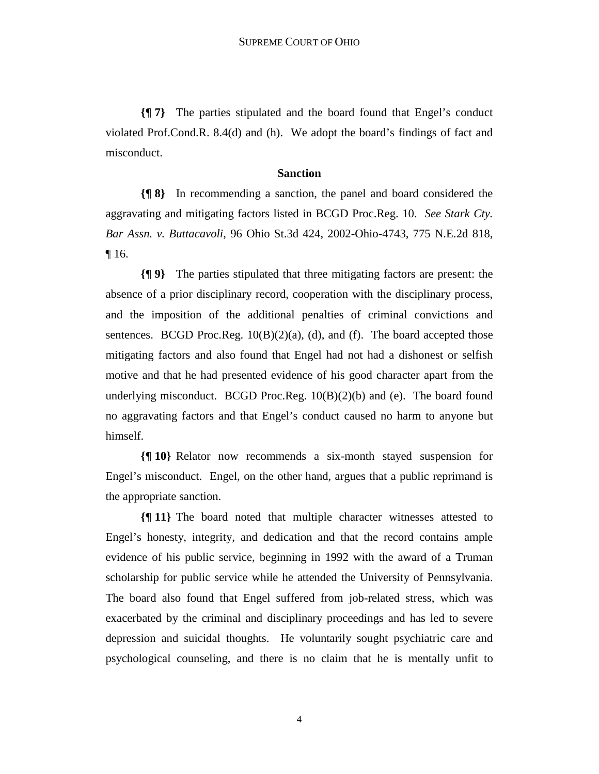**{¶ 7}** The parties stipulated and the board found that Engel's conduct violated Prof.Cond.R. 8.4(d) and (h). We adopt the board's findings of fact and misconduct.

#### **Sanction**

**{¶ 8}** In recommending a sanction, the panel and board considered the aggravating and mitigating factors listed in BCGD Proc.Reg. 10. *See Stark Cty. Bar Assn. v. Buttacavoli*, 96 Ohio St.3d 424, 2002-Ohio-4743, 775 N.E.2d 818, ¶ 16.

**{¶ 9}** The parties stipulated that three mitigating factors are present: the absence of a prior disciplinary record, cooperation with the disciplinary process, and the imposition of the additional penalties of criminal convictions and sentences. BCGD Proc.Reg.  $10(B)(2)(a)$ , (d), and (f). The board accepted those mitigating factors and also found that Engel had not had a dishonest or selfish motive and that he had presented evidence of his good character apart from the underlying misconduct. BCGD Proc.Reg.  $10(B)(2)(b)$  and (e). The board found no aggravating factors and that Engel's conduct caused no harm to anyone but himself.

**{¶ 10}** Relator now recommends a six-month stayed suspension for Engel's misconduct. Engel, on the other hand, argues that a public reprimand is the appropriate sanction.

**{¶ 11}** The board noted that multiple character witnesses attested to Engel's honesty, integrity, and dedication and that the record contains ample evidence of his public service, beginning in 1992 with the award of a Truman scholarship for public service while he attended the University of Pennsylvania. The board also found that Engel suffered from job-related stress, which was exacerbated by the criminal and disciplinary proceedings and has led to severe depression and suicidal thoughts. He voluntarily sought psychiatric care and psychological counseling, and there is no claim that he is mentally unfit to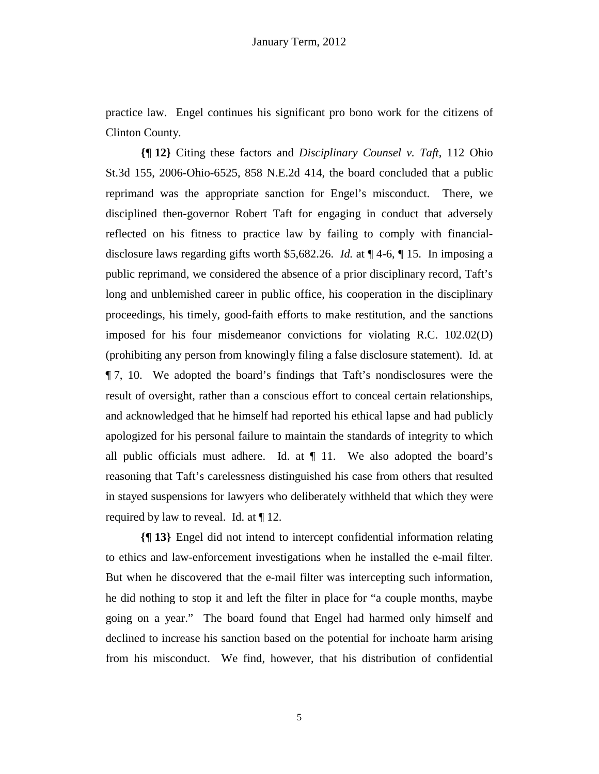practice law. Engel continues his significant pro bono work for the citizens of Clinton County.

**{¶ 12}** Citing these factors and *Disciplinary Counsel v. Taft*, 112 Ohio St.3d 155, 2006-Ohio-6525, 858 N.E.2d 414, the board concluded that a public reprimand was the appropriate sanction for Engel's misconduct. There, we disciplined then-governor Robert Taft for engaging in conduct that adversely reflected on his fitness to practice law by failing to comply with financialdisclosure laws regarding gifts worth \$5,682.26. *Id.* at ¶ 4-6, ¶ 15. In imposing a public reprimand, we considered the absence of a prior disciplinary record, Taft's long and unblemished career in public office, his cooperation in the disciplinary proceedings, his timely, good-faith efforts to make restitution, and the sanctions imposed for his four misdemeanor convictions for violating R.C. 102.02(D) (prohibiting any person from knowingly filing a false disclosure statement). Id. at ¶ 7, 10. We adopted the board's findings that Taft's nondisclosures were the result of oversight, rather than a conscious effort to conceal certain relationships, and acknowledged that he himself had reported his ethical lapse and had publicly apologized for his personal failure to maintain the standards of integrity to which all public officials must adhere. Id. at  $\P$  11. We also adopted the board's reasoning that Taft's carelessness distinguished his case from others that resulted in stayed suspensions for lawyers who deliberately withheld that which they were required by law to reveal. Id. at ¶ 12.

**{¶ 13}** Engel did not intend to intercept confidential information relating to ethics and law-enforcement investigations when he installed the e-mail filter. But when he discovered that the e-mail filter was intercepting such information, he did nothing to stop it and left the filter in place for "a couple months, maybe going on a year." The board found that Engel had harmed only himself and declined to increase his sanction based on the potential for inchoate harm arising from his misconduct. We find, however, that his distribution of confidential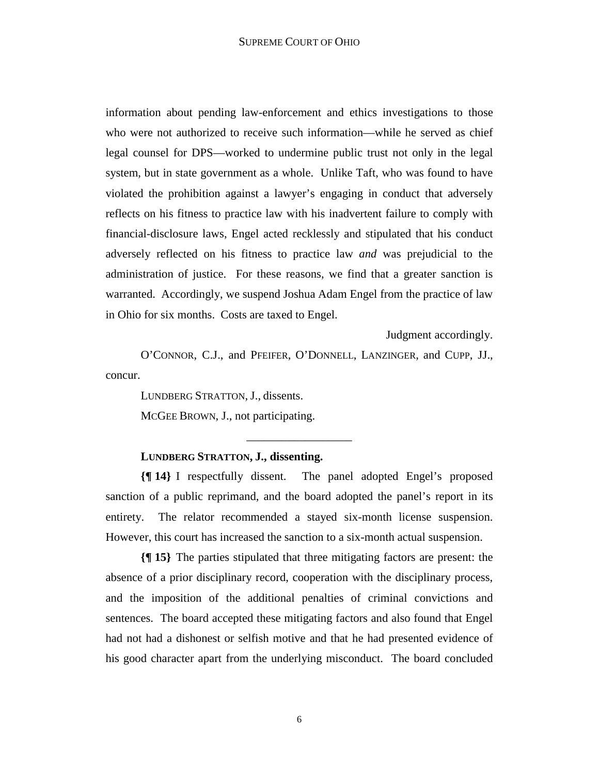information about pending law-enforcement and ethics investigations to those who were not authorized to receive such information—while he served as chief legal counsel for DPS—worked to undermine public trust not only in the legal system, but in state government as a whole. Unlike Taft, who was found to have violated the prohibition against a lawyer's engaging in conduct that adversely reflects on his fitness to practice law with his inadvertent failure to comply with financial-disclosure laws, Engel acted recklessly and stipulated that his conduct adversely reflected on his fitness to practice law *and* was prejudicial to the administration of justice. For these reasons, we find that a greater sanction is warranted. Accordingly, we suspend Joshua Adam Engel from the practice of law in Ohio for six months. Costs are taxed to Engel.

Judgment accordingly.

O'CONNOR, C.J., and PFEIFER, O'DONNELL, LANZINGER, and CUPP, JJ., concur.

LUNDBERG STRATTON, J., dissents.

MCGEE BROWN, J., not participating.

### **LUNDBERG STRATTON, J., dissenting.**

**{¶ 14}** I respectfully dissent. The panel adopted Engel's proposed sanction of a public reprimand, and the board adopted the panel's report in its entirety. The relator recommended a stayed six-month license suspension. However, this court has increased the sanction to a six-month actual suspension.

\_\_\_\_\_\_\_\_\_\_\_\_\_\_\_\_\_\_

**{¶ 15}** The parties stipulated that three mitigating factors are present: the absence of a prior disciplinary record, cooperation with the disciplinary process, and the imposition of the additional penalties of criminal convictions and sentences. The board accepted these mitigating factors and also found that Engel had not had a dishonest or selfish motive and that he had presented evidence of his good character apart from the underlying misconduct. The board concluded